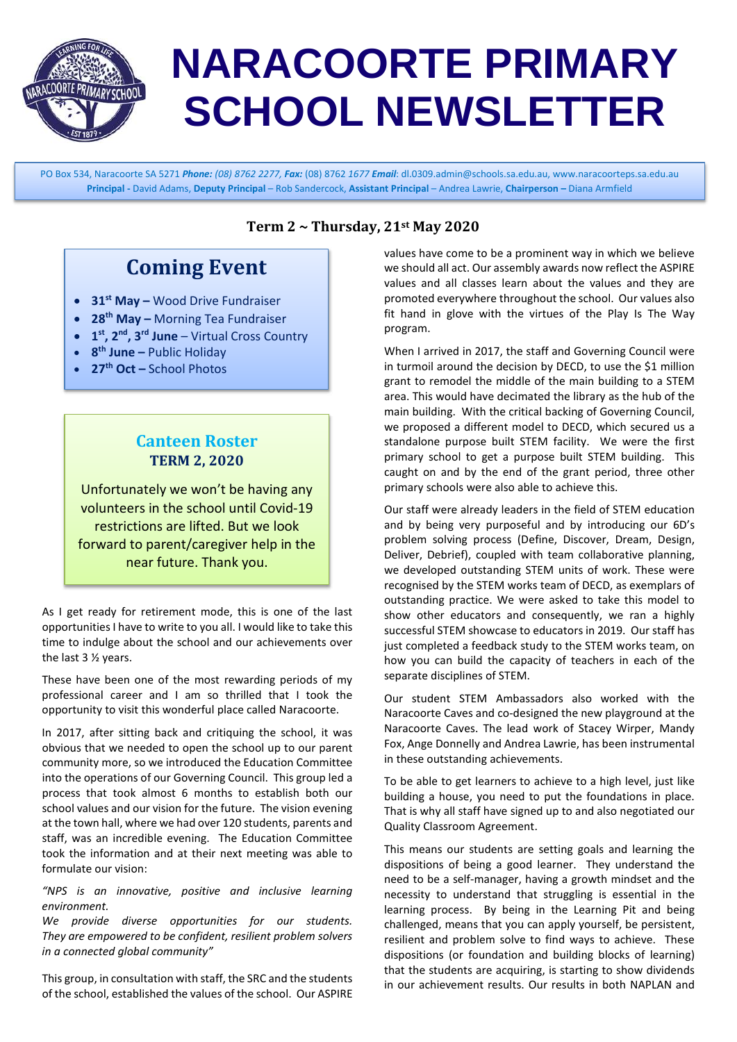

# **NARACOORTE PRIMARY SCHOOL NEWSLETTER**

PO Box 534, Naracoorte SA 5271 *Phone: (08) 8762 2277, Fax:* (08) 8762 *1677 Email*[: dl.0309.admin@schools.sa.edu.au,](mailto:dl.0309.admin@schools.sa.edu.au) [www.naracoorteps.sa.edu.au](http://www.naracoorteps.sa.edu.au/) **Principal -** David Adams, **Deputy Principal** – Rob Sandercock, **Assistant Principal** – Andrea Lawrie, **Chairperson –** Diana Armfield

## **Coming Event**

- **31st May –** Wood Drive Fundraiser
- **28th May –** Morning Tea Fundraiser
- **1st, 2nd, 3rd June** Virtual Cross Country
- **8th June –** Public Holiday
- **27th Oct –** School Photos

#### **Canteen Roster TERM 2, 2020**

Unfortunately we won't be having any volunteers in the school until Covid-19 restrictions are lifted. But we look forward to parent/caregiver help in the near future. Thank you.

As I get ready for retirement mode, this is one of the last opportunities I have to write to you all. I would like to take this time to indulge about the school and our achievements over the last 3 ½ years.

These have been one of the most rewarding periods of my professional career and I am so thrilled that I took the opportunity to visit this wonderful place called Naracoorte.

In 2017, after sitting back and critiquing the school, it was obvious that we needed to open the school up to our parent community more, so we introduced the Education Committee into the operations of our Governing Council. This group led a process that took almost 6 months to establish both our school values and our vision for the future. The vision evening at the town hall, where we had over 120 students, parents and staff, was an incredible evening. The Education Committee took the information and at their next meeting was able to formulate our vision:

*"NPS is an innovative, positive and inclusive learning environment.*

*We provide diverse opportunities for our students. They are empowered to be confident, resilient problem solvers in a connected global community"* 

This group, in consultation with staff, the SRC and the students of the school, established the values of the school. Our ASPIRE

#### **Term 2 ~ Thursday, 21st May 2020**

values have come to be a prominent way in which we believe we should all act. Our assembly awards now reflect the ASPIRE values and all classes learn about the values and they are promoted everywhere throughout the school. Our values also fit hand in glove with the virtues of the Play Is The Way program.

When I arrived in 2017, the staff and Governing Council were in turmoil around the decision by DECD, to use the \$1 million grant to remodel the middle of the main building to a STEM area. This would have decimated the library as the hub of the main building. With the critical backing of Governing Council, we proposed a different model to DECD, which secured us a standalone purpose built STEM facility. We were the first primary school to get a purpose built STEM building. This caught on and by the end of the grant period, three other primary schools were also able to achieve this.

Our staff were already leaders in the field of STEM education and by being very purposeful and by introducing our 6D's problem solving process (Define, Discover, Dream, Design, Deliver, Debrief), coupled with team collaborative planning, we developed outstanding STEM units of work. These were recognised by the STEM works team of DECD, as exemplars of outstanding practice. We were asked to take this model to show other educators and consequently, we ran a highly successful STEM showcase to educators in 2019. Our staff has just completed a feedback study to the STEM works team, on how you can build the capacity of teachers in each of the separate disciplines of STEM.

Our student STEM Ambassadors also worked with the Naracoorte Caves and co-designed the new playground at the Naracoorte Caves. The lead work of Stacey Wirper, Mandy Fox, Ange Donnelly and Andrea Lawrie, has been instrumental in these outstanding achievements.

To be able to get learners to achieve to a high level, just like building a house, you need to put the foundations in place. That is why all staff have signed up to and also negotiated our Quality Classroom Agreement.

This means our students are setting goals and learning the dispositions of being a good learner. They understand the need to be a self-manager, having a growth mindset and the necessity to understand that struggling is essential in the learning process. By being in the Learning Pit and being challenged, means that you can apply yourself, be persistent, resilient and problem solve to find ways to achieve. These dispositions (or foundation and building blocks of learning) that the students are acquiring, is starting to show dividends in our achievement results. Our results in both NAPLAN and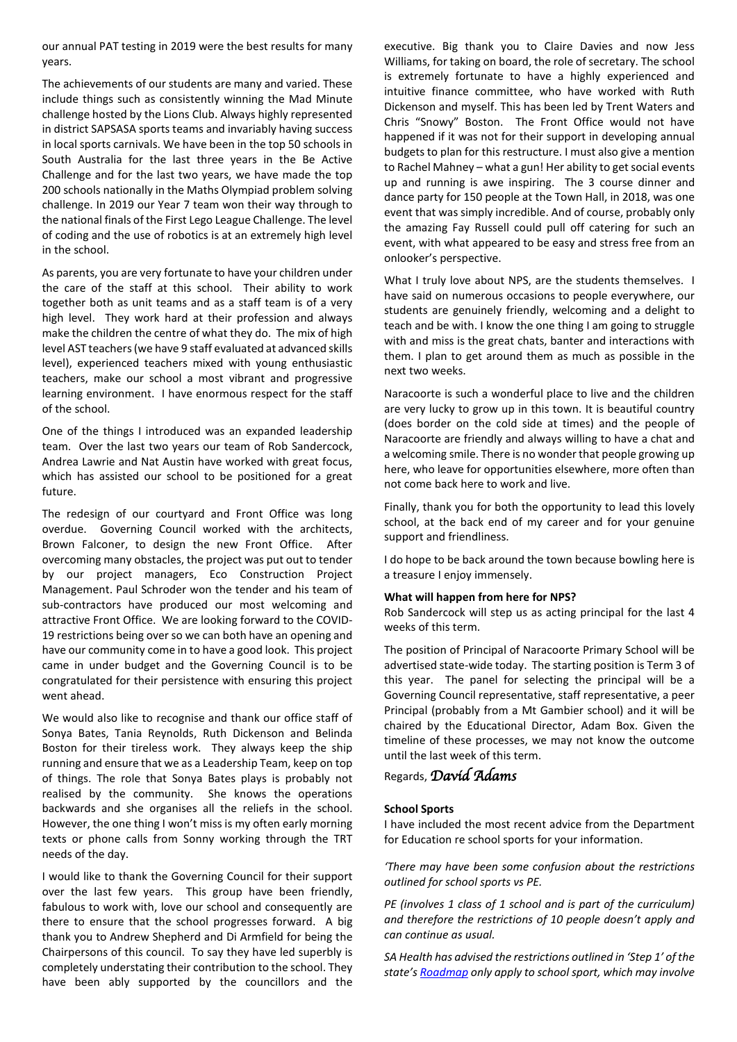our annual PAT testing in 2019 were the best results for many years.

The achievements of our students are many and varied. These include things such as consistently winning the Mad Minute challenge hosted by the Lions Club. Always highly represented in district SAPSASA sports teams and invariably having success in local sports carnivals. We have been in the top 50 schools in South Australia for the last three years in the Be Active Challenge and for the last two years, we have made the top 200 schools nationally in the Maths Olympiad problem solving challenge. In 2019 our Year 7 team won their way through to the national finals of the First Lego League Challenge. The level of coding and the use of robotics is at an extremely high level in the school.

As parents, you are very fortunate to have your children under the care of the staff at this school. Their ability to work together both as unit teams and as a staff team is of a very high level. They work hard at their profession and always make the children the centre of what they do. The mix of high level AST teachers (we have 9 staff evaluated at advanced skills level), experienced teachers mixed with young enthusiastic teachers, make our school a most vibrant and progressive learning environment. I have enormous respect for the staff of the school.

One of the things I introduced was an expanded leadership team. Over the last two years our team of Rob Sandercock, Andrea Lawrie and Nat Austin have worked with great focus, which has assisted our school to be positioned for a great future.

The redesign of our courtyard and Front Office was long overdue. Governing Council worked with the architects, Brown Falconer, to design the new Front Office. After overcoming many obstacles, the project was put out to tender by our project managers, Eco Construction Project Management. Paul Schroder won the tender and his team of sub-contractors have produced our most welcoming and attractive Front Office. We are looking forward to the COVID-19 restrictions being over so we can both have an opening and have our community come in to have a good look. This project came in under budget and the Governing Council is to be congratulated for their persistence with ensuring this project went ahead.

We would also like to recognise and thank our office staff of Sonya Bates, Tania Reynolds, Ruth Dickenson and Belinda Boston for their tireless work. They always keep the ship running and ensure that we as a Leadership Team, keep on top of things. The role that Sonya Bates plays is probably not realised by the community. She knows the operations backwards and she organises all the reliefs in the school. However, the one thing I won't miss is my often early morning texts or phone calls from Sonny working through the TRT needs of the day.

I would like to thank the Governing Council for their support over the last few years. This group have been friendly, fabulous to work with, love our school and consequently are there to ensure that the school progresses forward. A big thank you to Andrew Shepherd and Di Armfield for being the Chairpersons of this council. To say they have led superbly is completely understating their contribution to the school. They have been ably supported by the councillors and the

executive. Big thank you to Claire Davies and now Jess Williams, for taking on board, the role of secretary. The school is extremely fortunate to have a highly experienced and intuitive finance committee, who have worked with Ruth Dickenson and myself. This has been led by Trent Waters and Chris "Snowy" Boston. The Front Office would not have happened if it was not for their support in developing annual budgets to plan for this restructure. I must also give a mention to Rachel Mahney – what a gun! Her ability to get social events up and running is awe inspiring. The 3 course dinner and dance party for 150 people at the Town Hall, in 2018, was one event that was simply incredible. And of course, probably only the amazing Fay Russell could pull off catering for such an event, with what appeared to be easy and stress free from an onlooker's perspective.

What I truly love about NPS, are the students themselves. I have said on numerous occasions to people everywhere, our students are genuinely friendly, welcoming and a delight to teach and be with. I know the one thing I am going to struggle with and miss is the great chats, banter and interactions with them. I plan to get around them as much as possible in the next two weeks.

Naracoorte is such a wonderful place to live and the children are very lucky to grow up in this town. It is beautiful country (does border on the cold side at times) and the people of Naracoorte are friendly and always willing to have a chat and a welcoming smile. There is no wonder that people growing up here, who leave for opportunities elsewhere, more often than not come back here to work and live.

Finally, thank you for both the opportunity to lead this lovely school, at the back end of my career and for your genuine support and friendliness.

I do hope to be back around the town because bowling here is a treasure I enjoy immensely.

#### **What will happen from here for NPS?**

Rob Sandercock will step us as acting principal for the last 4 weeks of this term.

The position of Principal of Naracoorte Primary School will be advertised state-wide today. The starting position is Term 3 of this year. The panel for selecting the principal will be a Governing Council representative, staff representative, a peer Principal (probably from a Mt Gambier school) and it will be chaired by the Educational Director, Adam Box. Given the timeline of these processes, we may not know the outcome until the last week of this term.

Regards, *David Adams* 

#### **School Sports**

I have included the most recent advice from the Department for Education re school sports for your information.

*'There may have been some confusion about the restrictions outlined for school sports vs PE.* 

*PE (involves 1 class of 1 school and is part of the curriculum) and therefore the restrictions of 10 people doesn't apply and can continue as usual.* 

*SA Health has advised the restrictions outlined in 'Step 1' of the state'[s Roadmap](https://www.covid-19.sa.gov.au/__data/assets/pdf_file/0012/195879/FINAL-DPC_RoadMap_FINAL.pdf) only apply to school sport, which may involve*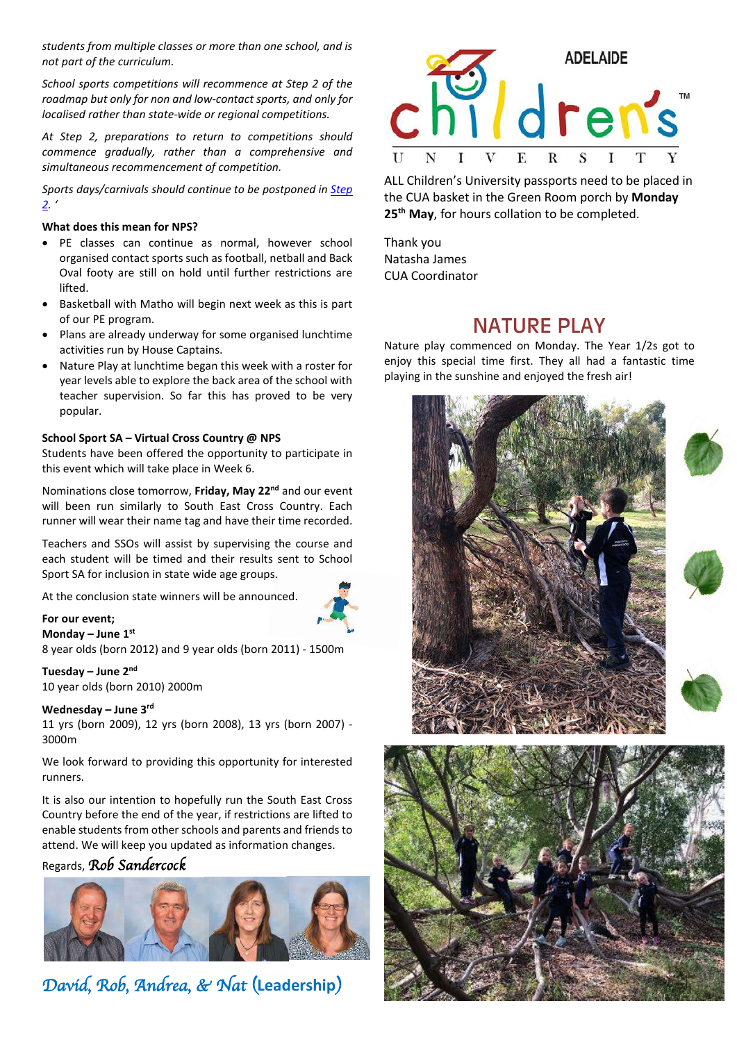*students from multiple classes or more than one school, and is not part of the curriculum.* 

*School sports competitions will recommence at Step 2 of the roadmap but only for non and low-contact sports, and only for localised rather than state-wide or regional competitions.* 

*At Step 2, preparations to return to competitions should commence gradually, rather than a comprehensive and simultaneous recommencement of competition.* 

*Sports days/carnivals should continue to be postponed in [Step](https://www.covid-19.sa.gov.au/__data/assets/pdf_file/0012/195879/FINAL-DPC_RoadMap_FINAL.pdf)  [2.](https://www.covid-19.sa.gov.au/__data/assets/pdf_file/0012/195879/FINAL-DPC_RoadMap_FINAL.pdf) '*

#### **What does this mean for NPS?**

- PE classes can continue as normal, however school organised contact sports such as football, netball and Back Oval footy are still on hold until further restrictions are lifted.
- Basketball with Matho will begin next week as this is part of our PE program.
- Plans are already underway for some organised lunchtime activities run by House Captains.
- Nature Play at lunchtime began this week with a roster for year levels able to explore the back area of the school with teacher supervision. So far this has proved to be very popular.

#### **School Sport SA – Virtual Cross Country @ NPS**

Students have been offered the opportunity to participate in this event which will take place in Week 6.

Nominations close tomorrow, **Friday, May 22nd** and our event will been run similarly to South East Cross Country. Each runner will wear their name tag and have their time recorded.

Teachers and SSOs will assist by supervising the course and each student will be timed and their results sent to School Sport SA for inclusion in state wide age groups.

At the conclusion state winners will be anno[unced.](http://www.bing.com/images/search?view=detailV2&ccid=XQ/66jDc&id=3DF2D84145A34F3C04E6DB94A1C0C9CB3952C139&thid=OIP.XQ_66jDc1aC4mOpmnH-KBgHaEK&mediaurl=https://upload.wikimedia.org/wikipedia/commons/thumb/9/95/Man_Jogging_Cartoon.svg/512px-Man_Jogging_Cartoon.svg.png&exph=288&expw=512&q=Animated+Jogging&simid=608031102498507922&selectedIndex=5)

#### **For our event;**

**Monday – June 1st** 8 year olds (born 2012) and 9 year olds (born 2011) - 1500m

#### **Tuesday – June 2nd**

10 year olds (born 2010) 2000m

#### **Wednesday – June 3rd**

11 yrs (born 2009), 12 yrs (born 2008), 13 yrs (born 2007) - 3000m

We look forward to providing this opportunity for interested runners.

It is also our intention to hopefully run the South East Cross Country before the end of the year, if restrictions are lifted to enable students from other schools and parents and friends to attend. We will keep you updated as information changes.

#### Regards, *Rob Sandercock*



*David, Rob, Andrea, & Nat (***Leadership***)* 



ALL Children's University passports need to be placed in the CUA basket in the Green Room porch by **Monday 25th May**, for hours collation to be completed.

Thank you Natasha James CUA Coordinator

#### NATURE PLAY

Nature play commenced on Monday. The Year 1/2s got to enjoy this special time first. They all had a fantastic time playing in the sunshine and enjoyed the fresh air!









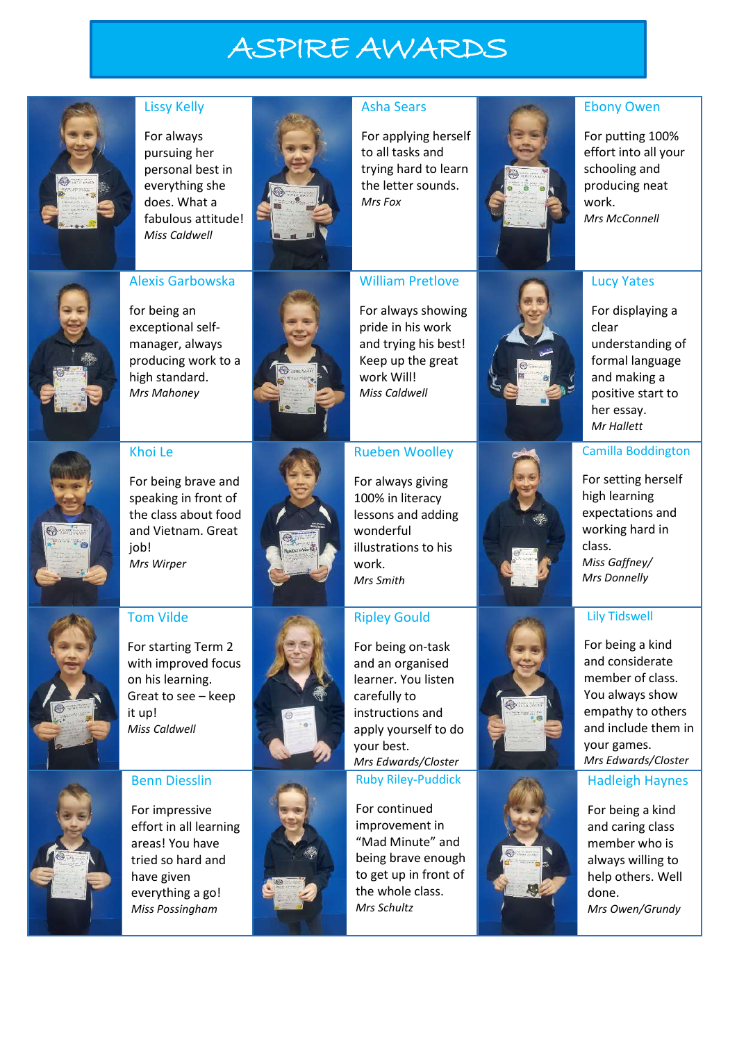# ASPIRE AWARDS



#### Lissy Kelly

For always pursuing her personal best in everything she does. What a fabulous attitude! *Miss Caldwell*



#### Asha Sears

For applying herself to all tasks and trying hard to learn the letter sounds. *Mrs Fox*



#### Ebony Owen

For putting 100% effort into all your schooling and producing neat work. *Mrs McConnell*



### Alexis Garbowska

for being an exceptional selfmanager, always producing work to a high standard. *Mrs Mahoney*



#### For always showing pride in his work and trying his best! Keep up the great work Will! *Miss Caldwell*

William Pretlove

#### Rueben Woolley

For always giving lessons and adding illustrations to his *Mrs Smith*

#### Ripley Gould

For being on-task and an organised learner. You listen carefully to instructions and apply yourself to do your best. *Mrs Edwards/Closter* Ruby Riley-Puddick

For continued improvement in "Mad Minute" and being brave enough to get up in front of the whole class. *Mrs Schultz*



#### Lucy Yates

For displaying a clear understanding of formal language and making a positive start to her essay. *Mr Hallett*

#### Camilla Boddington

For setting herself high learning expectations and working hard in class. *Miss Gaffney/ Mrs Donnelly*

#### Lily Tidswell

For being a kind and considerate member of class. You always show empathy to others and include them in your games. *Mrs Edwards/Closter*

#### Hadleigh Haynes

For being a kind and caring class member who is always willing to help others. Well done. *Mrs Owen/Grundy*

For being brave and speaking in front of the class about food and Vietnam. Great job! *Mrs Wirper*

Khoi Le



#### Tom Vilde

For starting Term 2 with improved focus on his learning. Great to see – keep it up! *Miss Caldwell*



#### Benn Diesslin

For impressive effort in all learning areas! You have tried so hard and have given everything a go! *Miss Possingham*







# 100% in literacy wonderful work.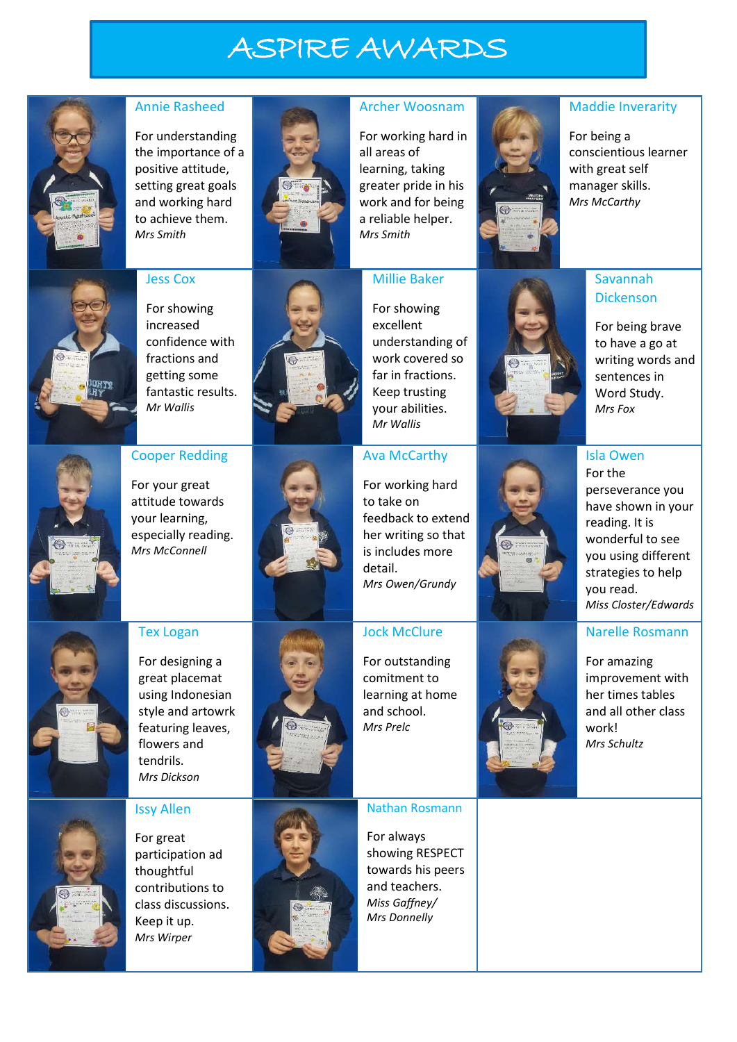# ASPIRE AWARDS



#### Annie Rasheed

For understanding the importance of a positive attitude, setting great goals and working hard to achieve them. *Mrs Smith*



#### Archer Woosnam

For working hard in all areas of learning, taking greater pride in his work and for being a reliable helper. *Mrs Smith*

Millie Baker



#### Maddie Inverarity

For being a conscientious learner with great self manager skills. *Mrs McCarthy*



#### Jess Cox

For showing increased confidence with fractions and getting some fantastic results. *Mr Wallis*

Cooper Redding

For your great attitude towards your learning, especially reading. *Mrs McConnell*



#### For showing excellent understanding of work covered so far in fractions. Keep trusting your abilities. *Mr Wallis*

#### Ava McCarthy

For working hard to take on feedback to extend her writing so that is includes more detail. *Mrs Owen/Grundy*

### Savannah Dickenson

For being brave to have a go at writing words and sentences in Word Study. *Mrs Fox*

Tex Logan



For designing a great placemat using Indonesian style and artowrk featuring leaves, flowers and tendrils.



## Jock McClure

For outstanding comitment to learning at home and school. *Mrs Prelc*



For amazing improvement with her times tables and all other class work! *Mrs Schultz*

Narelle Rosmann



#### Issy Allen

*Mrs Dickson*

For great participation ad thoughtful contributions to class discussions. Keep it up. *Mrs Wirper*



#### Nathan Rosmann

For always showing RESPECT towards his peers and teachers. *Miss Gaffney/ Mrs Donnelly*

#### Isla Owen For the

*Miss Closter/Edwards*

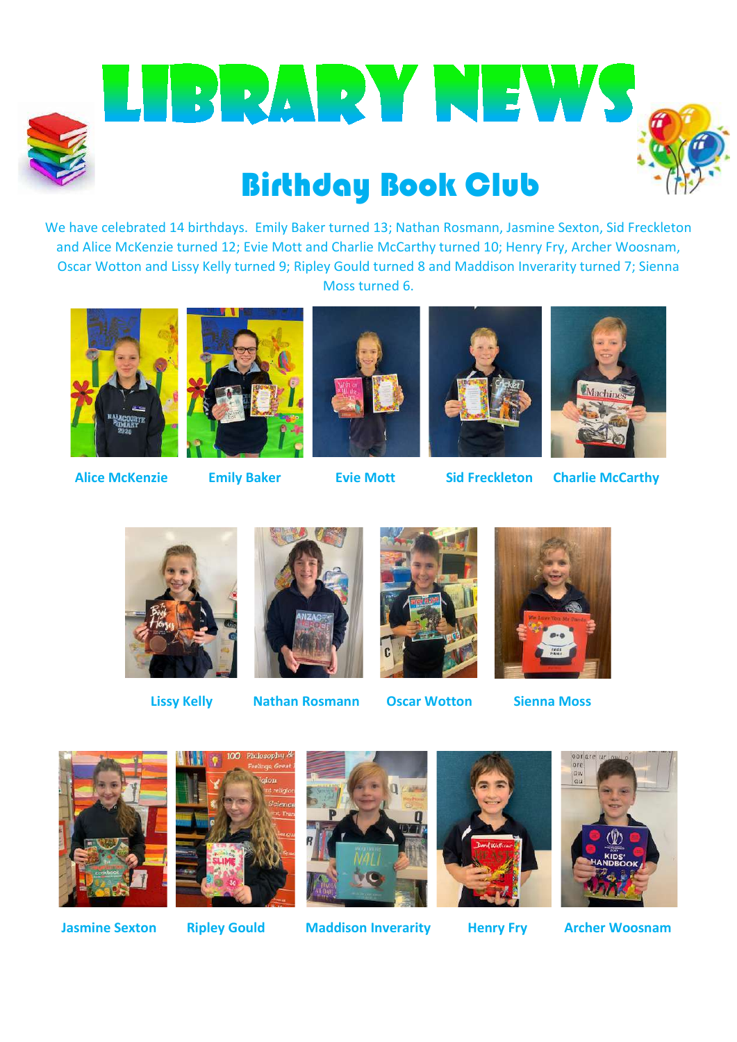

BRARY NEWS

# Birthday Book Club

We have celebrated 14 birthdays. Emily Baker turned 13; Nathan Rosmann, Jasmine Sexton, Sid Freckleton and Alice McKenzie turned 12; Evie Mott and Charlie McCarthy turned 10; Henry Fry, Archer Woosnam, Oscar Wotton and Lissy Kelly turned 9; Ripley Gould turned 8 and Maddison Inverarity turned 7; Sienna Moss turned 6.

















**Lissy Kelly Nathan Rosmann Oscar Wotton Sienna Moss**









 **Jasmine Sexton Ripley Gould Maddison Inverarity Henry Fry Archer Woosnam**



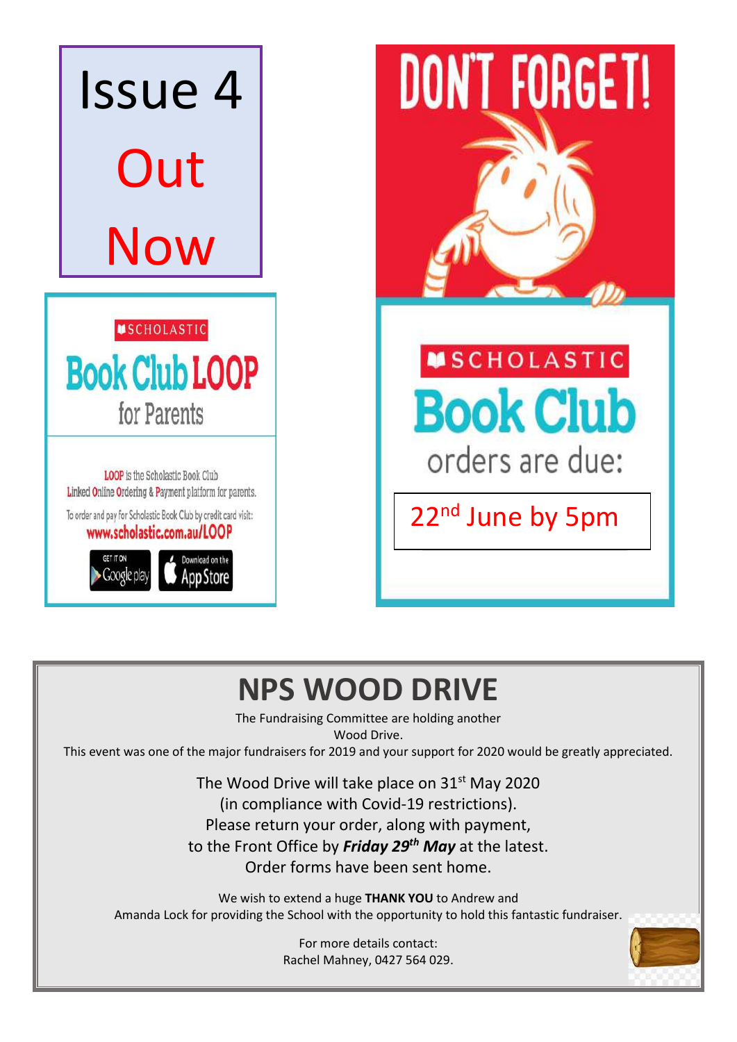

# **NPS WOOD DRIVE**

The Fundraising Committee are holding another Wood Drive.

This event was one of the major fundraisers for 2019 and your support for 2020 would be greatly appreciated.

The Wood Drive will take place on  $31<sup>st</sup>$  May 2020 (in compliance with Covid-19 restrictions). Please return your order, along with payment, to the Front Office by *Friday 29th May* at the latest. Order forms have been sent home.

We wish to extend a huge **THANK YOU** to Andrew and Amanda Lock for providing the School with the opportunity to hold this fantastic fundraiser.

> For more details contact: Rachel Mahney, 0427 564 029.

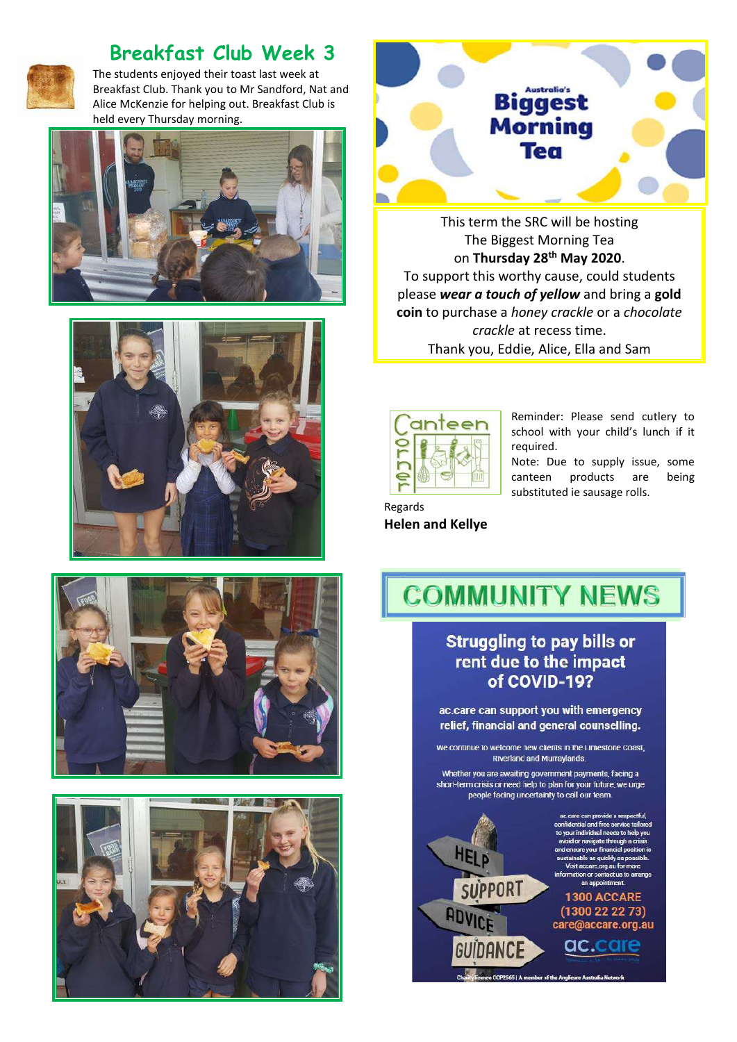

### **Breakfast Club Week 3**

The students enjoyed their toast last week at Breakfast Club. Thank you to Mr Sandford, Nat and Alice McKenzie for helping out. Breakfast Club is held every Thursday morning.











This term the SRC will be hosting The Biggest Morning Tea on **Thursday 28th May 2020**. To support this worthy cause, could students please *wear a touch of yellow* and bring a **gold coin** to purchase a *honey crackle* or a *chocolate crackle* at recess time. Thank you, Eddie, Alice, Ella and Sam



Reminder: Please send cutlery to school with your child's lunch if it required.

Note: Due to supply issue, some canteen products are being substituted ie sausage rolls.

Regards **Helen and Kellye**

# **COMMUNITY NEWS**

#### **Struggling to pay bills or** rent due to the impact of COVID-19?

ac.care can support you with emergency relief, financial and general counselling.

We continue to welcome new clients in the Limestone Coast, Riverland and Murraylands.

Whether you are awaiting government payments, facing a short-term crisis or need help to plan for your future, we urge people facing uncertainty to call our team.



ential and free service tailorer ur individual needs to help you te through a crisis nd ensure your financial position is sit accare org.au for more act us to arrange an appo

1300 ACCARE  $(1300222273)$ care@accare.org.au

ac.care